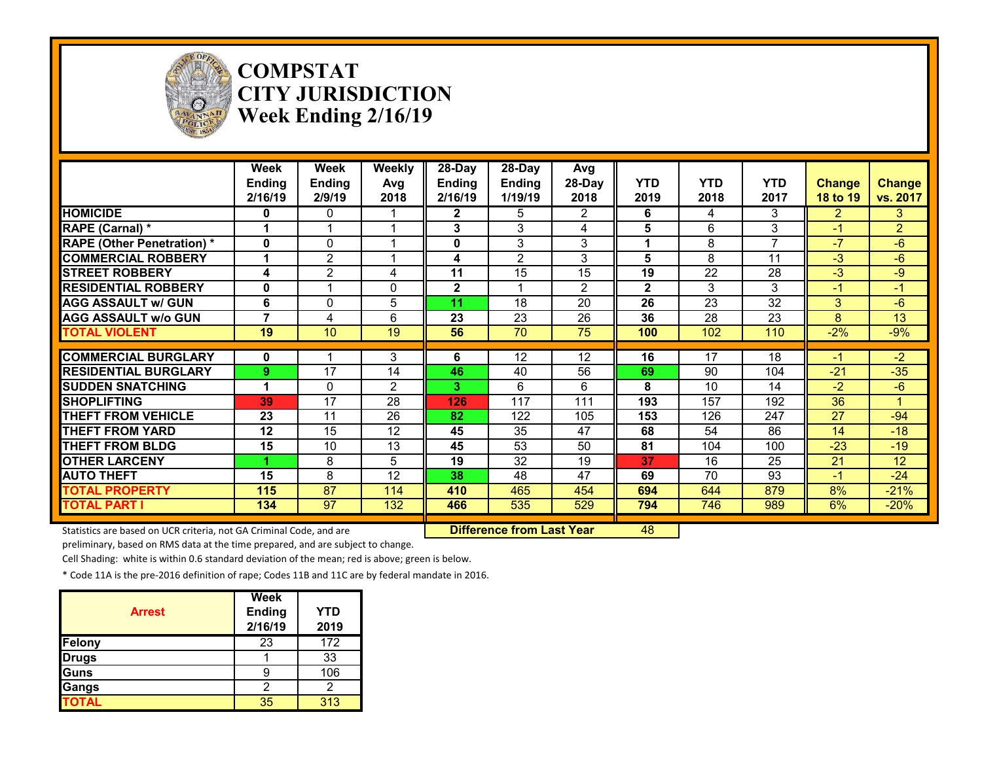

#### **COMPSTAT CITY JURISDICTION Week Ending 2/16/19**

|                                                                     | Week<br>Ending<br>2/16/19 | Week<br>Ending<br>2/9/19 | <b>Weekly</b><br>Avg<br>2018 | 28-Day<br><b>Ending</b><br>2/16/19 | 28-Day<br>Ending<br>1/19/19      | Avg<br>28-Day<br>2018 | <b>YTD</b><br>2019 | <b>YTD</b><br>2018 | <b>YTD</b><br>2017 | <b>Change</b><br>18 to 19 | <b>Change</b><br>vs. 2017 |
|---------------------------------------------------------------------|---------------------------|--------------------------|------------------------------|------------------------------------|----------------------------------|-----------------------|--------------------|--------------------|--------------------|---------------------------|---------------------------|
| <b>HOMICIDE</b>                                                     | 0                         | 0                        |                              | $\mathbf{2}$                       | 5                                | $\overline{2}$        | 6                  | 4                  | 3                  | $\overline{2}$            | 3                         |
| RAPE (Carnal) *                                                     |                           |                          |                              | 3                                  | 3                                | 4                     | 5                  | 6                  | 3                  | $-1$                      | $\overline{2}$            |
| <b>RAPE (Other Penetration)*</b>                                    | 0                         | $\Omega$                 |                              | 0                                  | 3                                | 3                     |                    | 8                  |                    | -7                        | $-6$                      |
| <b>COMMERCIAL ROBBERY</b>                                           |                           | $\overline{2}$           |                              | 4                                  | $\mathbf{2}$                     | 3                     | 5                  | 8                  | 11                 | $-3$                      | $-6$                      |
| <b>STREET ROBBERY</b>                                               | 4                         | 2                        | 4                            | 11                                 | 15                               | 15                    | 19                 | 22                 | 28                 | $-3$                      | $-9$                      |
| <b>RESIDENTIAL ROBBERY</b>                                          | 0                         |                          | $\Omega$                     | $\mathbf{2}$                       |                                  | $\overline{2}$        | $\mathbf{2}$       | 3                  | 3                  | $-1$                      | $-1$                      |
| <b>AGG ASSAULT w/ GUN</b>                                           | 6                         | 0                        | 5                            | 11                                 | 18                               | 20                    | 26                 | 23                 | $\overline{32}$    | 3                         | $-6$                      |
| <b>AGG ASSAULT w/o GUN</b>                                          | 7                         | 4                        | 6                            | 23                                 | 23                               | 26                    | 36                 | 28                 | 23                 | 8                         | $\overline{13}$           |
| <b>TOTAL VIOLENT</b>                                                | 19                        | 10                       | $\overline{19}$              | 56                                 | $\overline{70}$                  | $\overline{75}$       | 100                | 102                | 110                | $-2%$                     | $-9%$                     |
| <b>COMMERCIAL BURGLARY</b>                                          | 0                         |                          | 3                            | 6                                  | 12                               | 12                    | 16                 | 17                 | 18                 | $-1$                      | $-2$                      |
| <b>RESIDENTIAL BURGLARY</b>                                         | 9                         | 17                       | 14                           | 46                                 | 40                               | 56                    | 69                 | 90                 | 104                | $-21$                     | $-35$                     |
| <b>SUDDEN SNATCHING</b>                                             |                           | $\Omega$                 | 2                            | 3.                                 | 6                                | 6                     | 8                  | 10                 | 14                 | $-2$                      | $-6$                      |
| <b>SHOPLIFTING</b>                                                  | 39                        | 17                       | 28                           | 126                                | 117                              | 111                   | 193                | 157                | 192                | 36                        |                           |
| <b>THEFT FROM VEHICLE</b>                                           | 23                        | 11                       | 26                           | 82                                 | 122                              | 105                   | 153                | 126                | 247                | 27                        | $-94$                     |
| <b>THEFT FROM YARD</b>                                              | 12                        | 15                       | 12                           | 45                                 | 35                               | 47                    | 68                 | 54                 | 86                 | 14                        | $-18$                     |
| <b>THEFT FROM BLDG</b>                                              | 15                        | 10                       | 13                           | 45                                 | 53                               | 50                    | 81                 | 104                | 100                | $-23$                     | $-19$                     |
| <b>OTHER LARCENY</b>                                                |                           | 8                        | 5                            | 19                                 | 32                               | 19                    | 37                 | 16                 | 25                 | 21                        | 12                        |
| <b>AUTO THEFT</b>                                                   | 15                        | 8                        | 12                           | 38                                 | 48                               | 47                    | 69                 | 70                 | 93                 | $-1$                      | $-24$                     |
| <b>TOTAL PROPERTY</b>                                               | 115                       | $\overline{87}$          | 114                          | 410                                | 465                              | 454                   | 694                | 644                | 879                | 8%                        | $-21%$                    |
| <b>TOTAL PART I</b>                                                 | 134                       | 97                       | 132                          | 466                                | 535                              | 529                   | 794                | 746                | 989                | 6%                        | $-20%$                    |
| Statistics are based on UCR criteria, not GA Criminal Code, and are |                           |                          |                              |                                    | <b>Difference from Last Year</b> |                       | 48                 |                    |                    |                           |                           |

preliminary, based on RMS data at the time prepared, and are subject to change.

Cell Shading: white is within 0.6 standard deviation of the mean; red is above; green is below.

| <b>Arrest</b> | Week<br><b>Ending</b><br>2/16/19 | <b>YTD</b><br>2019 |
|---------------|----------------------------------|--------------------|
| Felony        | 23                               | 172                |
| <b>Drugs</b>  |                                  | 33                 |
| Guns          |                                  | 106                |
| Gangs         | 2                                | 2                  |
| <b>TOTAL</b>  | 35                               | 313                |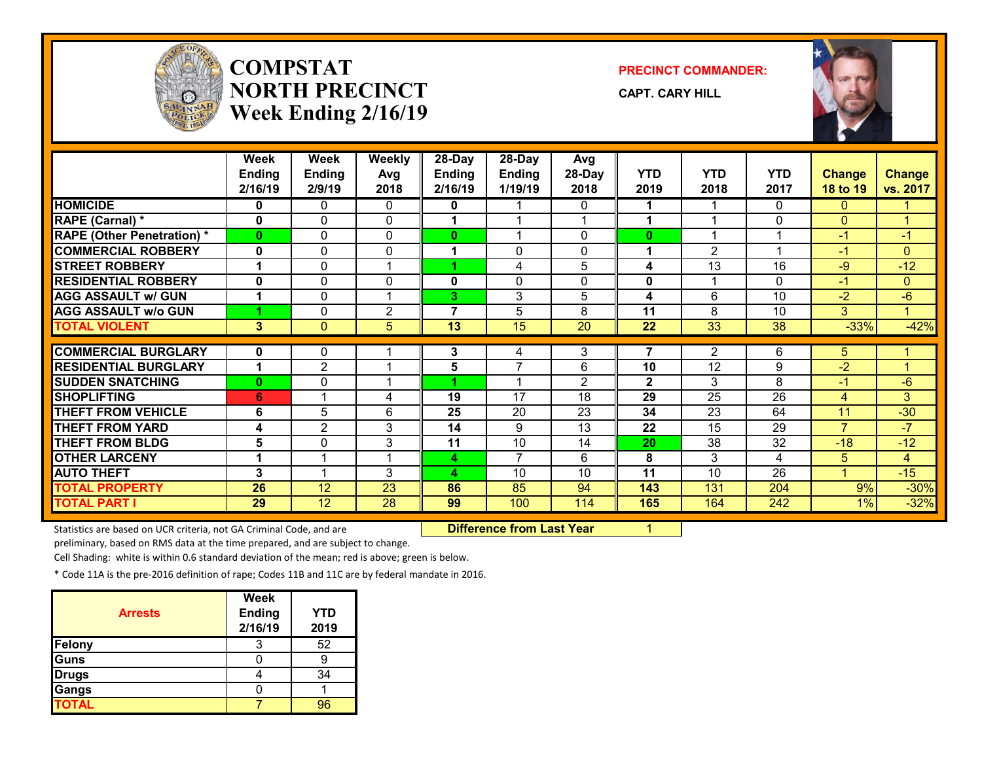

## **COMPSTATNORTH PRECINCTWeek Ending 2/16/19**

**PRECINCT COMMANDER:**

**CAPT. CARY HILL**



|                                   | <b>Week</b>  | Week           | <b>Weekly</b>           | 28-Day        | 28-Day          | Avg             |                |                 |                 |                |                |
|-----------------------------------|--------------|----------------|-------------------------|---------------|-----------------|-----------------|----------------|-----------------|-----------------|----------------|----------------|
|                                   | Ending       | Ending         | Avg                     | <b>Ending</b> | <b>Ending</b>   | 28-Day          | <b>YTD</b>     | <b>YTD</b>      | <b>YTD</b>      | <b>Change</b>  | <b>Change</b>  |
|                                   | 2/16/19      | 2/9/19         | 2018                    | 2/16/19       | 1/19/19         | 2018            | 2019           | 2018            | 2017            | 18 to 19       | vs. 2017       |
| <b>HOMICIDE</b>                   | 0            | 0              | 0                       | 0             |                 | 0               | 1              | 1               | $\mathbf{0}$    | 0              |                |
| RAPE (Carnal) *                   | $\mathbf{0}$ | $\mathbf{0}$   | $\mathbf{0}$            | 1             |                 |                 | 1              | 1               | 0               | $\Omega$       | 4              |
| <b>RAPE (Other Penetration) *</b> | $\bf{0}$     | $\Omega$       | $\Omega$                | 0             |                 | 0               | $\bf{0}$       | 1               | 1               | $-1$           | $-1$           |
| <b>COMMERCIAL ROBBERY</b>         | $\mathbf{0}$ | $\mathbf{0}$   | $\Omega$                | 1             | 0               | 0               | 1              | $\overline{2}$  | 1               | $-1$           | $\mathbf{0}$   |
| <b>STREET ROBBERY</b>             |              | $\mathbf{0}$   | $\overline{\mathbf{A}}$ |               | 4               | 5               | 4              | 13              | 16              | $-9$           | $-12$          |
| <b>RESIDENTIAL ROBBERY</b>        | $\mathbf 0$  | 0              | 0                       | 0             | 0               | 0               | 0              | 1               | $\mathbf{0}$    | $-1$           | $\mathbf{0}$   |
| <b>AGG ASSAULT w/ GUN</b>         |              | 0              | 1                       | 3.            | 3               | 5               | 4              | 6               | 10              | $-2$           | $-6$           |
| <b>AGG ASSAULT w/o GUN</b>        |              | $\mathbf{0}$   | 2                       | 7             | 5               | 8               | 11             | 8               | 10              | 3              | $\overline{1}$ |
| <b>TOTAL VIOLENT</b>              | 3            | $\mathbf{0}$   | $5\phantom{.0}$         | 13            | 15              | 20              | 22             | 33              | 38              | $-33%$         | $-42%$         |
|                                   |              |                |                         |               |                 |                 |                |                 |                 |                |                |
| <b>COMMERCIAL BURGLARY</b>        | 0            | 0              |                         | 3             | 4               | 3               | $\overline{7}$ | $\overline{2}$  | 6               | 5              |                |
| <b>RESIDENTIAL BURGLARY</b>       | 1            | 2              |                         | 5             | $\overline{7}$  | 6               | 10             | 12              | 9               | $-2$           |                |
| <b>SUDDEN SNATCHING</b>           | $\mathbf{0}$ | $\mathbf{0}$   | $\overline{A}$          |               | 1               | $\overline{2}$  | $\mathbf{2}$   | 3               | 8               | $-1$           | $-6$           |
| <b>SHOPLIFTING</b>                | 6            |                | 4                       | 19            | $\overline{17}$ | $\overline{18}$ | 29             | $\overline{25}$ | $\overline{26}$ | $\overline{4}$ | 3              |
| <b>THEFT FROM VEHICLE</b>         | 6            | 5              | 6                       | 25            | 20              | 23              | 34             | 23              | 64              | 11             | $-30$          |
| <b>THEFT FROM YARD</b>            | 4            | $\overline{2}$ | 3                       | 14            | 9               | 13              | 22             | 15              | 29              | $\overline{7}$ | $-7$           |
| <b>THEFT FROM BLDG</b>            | 5            | $\Omega$       | 3                       | 11            | 10              | 14              | 20             | 38              | 32              | $-18$          | $-12$          |
| <b>OTHER LARCENY</b>              | 1            |                | $\overline{ }$          | 4             | $\overline{7}$  | 6               | 8              | 3               | 4               | 5              | 4              |
| <b>AUTO THEFT</b>                 | 3            |                | 3                       | 4             | 10              | 10              | 11             | 10              | 26              |                | $-15$          |
| <b>TOTAL PROPERTY</b>             | 26           | 12             | 23                      | 86            | 85              | 94              | 143            | 131             | 204             | 9%             | $-30%$         |
| <b>TOTAL PART I</b>               | 29           | 12             | 28                      | 99            | 100             | 114             | 165            | 164             | 242             | 1%             | $-32%$         |

Statistics are based on UCR criteria, not GA Criminal Code, and are **Difference from Last Year** 1

preliminary, based on RMS data at the time prepared, and are subject to change.

Cell Shading: white is within 0.6 standard deviation of the mean; red is above; green is below.

| <b>Arrests</b> | <b>Week</b><br><b>Ending</b><br>2/16/19 | YTD<br>2019 |
|----------------|-----------------------------------------|-------------|
| <b>Felony</b>  |                                         | 52          |
| Guns           |                                         |             |
| <b>Drugs</b>   |                                         | 34          |
| Gangs          |                                         |             |
| <b>TOTAL</b>   |                                         |             |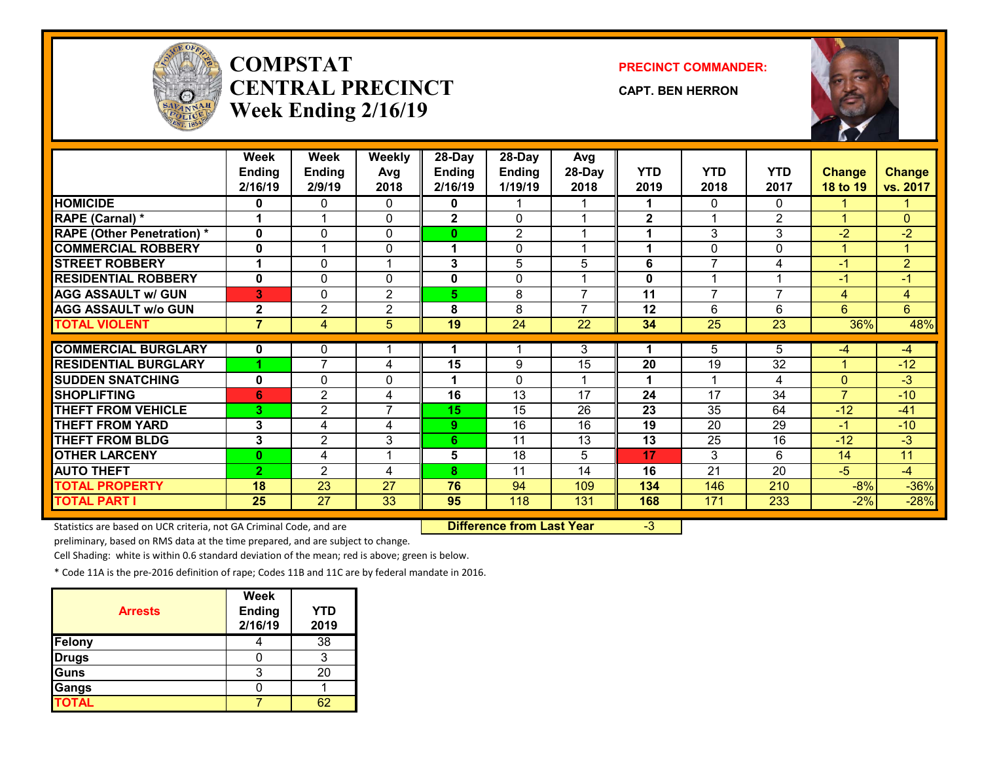

# **COMPSTATCENTRAL PRECINCTWeek Ending 2/16/19**

**PRECINCT COMMANDER:**

**CAPT. BEN HERRON**



|                                   | Week<br><b>Ending</b><br>2/16/19 | Week<br><b>Ending</b><br>2/9/19 | <b>Weekly</b><br>Avg<br>2018 | $28$ -Day<br><b>Ending</b><br>2/16/19 | $28-Day$<br><b>Ending</b><br>1/19/19 | Avg<br>28-Day<br>2018 | <b>YTD</b><br>2019 | <b>YTD</b><br>2018 | <b>YTD</b><br>2017 | <b>Change</b><br>18 to 19 | <b>Change</b><br>vs. 2017 |
|-----------------------------------|----------------------------------|---------------------------------|------------------------------|---------------------------------------|--------------------------------------|-----------------------|--------------------|--------------------|--------------------|---------------------------|---------------------------|
| <b>HOMICIDE</b>                   | 0                                | 0                               | 0                            | 0                                     | 1                                    |                       | 1                  | 0                  | $\Omega$           |                           |                           |
| RAPE (Carnal) *                   | 1                                | $\blacktriangleleft$            | $\mathbf{0}$                 | $\overline{2}$                        | $\Omega$                             |                       | $\mathbf{2}$       | 1                  | $\overline{2}$     | -1                        | $\mathbf{0}$              |
| <b>RAPE (Other Penetration) *</b> | $\mathbf{0}$                     | $\Omega$                        | $\Omega$                     | $\bf{0}$                              | $\overline{2}$                       |                       | 1                  | 3                  | 3                  | $-2$                      | $-2$                      |
| <b>COMMERCIAL ROBBERY</b>         | $\mathbf{0}$                     | 4                               | $\mathbf{0}$                 | 1                                     | $\mathbf{0}$                         | 4                     | 1                  | 0                  | 0                  | -1                        | $\mathbf{1}$              |
| <b>STREET ROBBERY</b>             |                                  | 0                               |                              | 3                                     | 5                                    | 5                     | 6                  | 7                  | 4                  | $-1$                      | $\overline{2}$            |
| <b>RESIDENTIAL ROBBERY</b>        | $\mathbf 0$                      | 0                               | $\Omega$                     | 0                                     | $\mathbf{0}$                         |                       | 0                  | 4                  | $\overline{ }$     | -1                        | $-1$                      |
| <b>AGG ASSAULT w/ GUN</b>         | 3                                | 0                               | $\overline{2}$               | 5.                                    | 8                                    | 7                     | 11                 | $\overline{7}$     | $\overline{7}$     | 4                         | $\overline{4}$            |
| <b>AGG ASSAULT w/o GUN</b>        | $\mathbf 2$                      | $\overline{2}$                  | 2                            | 8                                     | 8                                    | $\overline{7}$        | 12                 | 6                  | 6                  | 6                         | 6                         |
| <b>TOTAL VIOLENT</b>              | $\overline{7}$                   | $\overline{4}$                  | 5                            | 19                                    | $\overline{24}$                      | $\overline{22}$       | 34                 | 25                 | $\overline{23}$    | 36%                       | 48%                       |
|                                   |                                  |                                 |                              |                                       |                                      |                       |                    |                    |                    |                           |                           |
| <b>COMMERCIAL BURGLARY</b>        | $\mathbf 0$                      | 0                               |                              |                                       | 1                                    | 3                     | 1                  | 5                  | 5                  | $-4$                      | $-4$                      |
| <b>RESIDENTIAL BURGLARY</b>       |                                  | $\overline{7}$                  | 4                            | 15                                    | 9                                    | 15                    | 20                 | 19                 | 32                 | 1                         | $-12$                     |
| <b>SUDDEN SNATCHING</b>           | $\mathbf{0}$                     | $\Omega$                        | $\mathbf{0}$                 |                                       | $\Omega$                             |                       | 1                  |                    | 4                  | $\overline{0}$            | $-3$                      |
| <b>SHOPLIFTING</b>                | 6                                | $\overline{c}$                  | 4                            | 16                                    | 13                                   | 17                    | 24                 | 17                 | 34                 | $\overline{7}$            | $-10$                     |
| <b>THEFT FROM VEHICLE</b>         | 3                                | $\overline{2}$                  | $\overline{7}$               | 15                                    | 15                                   | 26                    | 23                 | 35                 | 64                 | $-12$                     | $-41$                     |
| <b>THEFT FROM YARD</b>            | 3                                | 4                               | 4                            | 9                                     | $\overline{16}$                      | 16                    | 19                 | 20                 | 29                 | $-1$                      | $-10$                     |
| <b>THEFT FROM BLDG</b>            | 3                                | 2                               | 3                            | 6                                     | 11                                   | 13                    | 13                 | 25                 | 16                 | $-12$                     | $-3$                      |
| <b>OTHER LARCENY</b>              | $\bf{0}$                         | 4                               |                              | 5                                     | 18                                   | 5                     | 17                 | 3                  | 6                  | 14                        | 11                        |
| <b>AUTO THEFT</b>                 | $\overline{2}$                   | 2                               | 4                            | 8                                     | 11                                   | 14                    | 16                 | 21                 | 20                 | $-5$                      | $-4$                      |
| <b>TOTAL PROPERTY</b>             | 18                               | 23                              | 27                           | 76                                    | 94                                   | 109                   | 134                | 146                | 210                | $-8%$                     | $-36%$                    |
| <b>TOTAL PART I</b>               | 25                               | 27                              | 33                           | 95                                    | 118                                  | 131                   | 168                | 171                | 233                | $-2%$                     | $-28%$                    |

Statistics are based on UCR criteria, not GA Criminal Code, and are **Difference from Last Year** -3

preliminary, based on RMS data at the time prepared, and are subject to change.

Cell Shading: white is within 0.6 standard deviation of the mean; red is above; green is below.

| <b>Arrests</b> | <b>Week</b><br><b>Ending</b><br>2/16/19 | <b>YTD</b><br>2019 |
|----------------|-----------------------------------------|--------------------|
| Felony         |                                         | 38                 |
| <b>Drugs</b>   |                                         |                    |
| Guns           | 3                                       | 20                 |
| Gangs          |                                         |                    |
| <b>TOTAL</b>   |                                         |                    |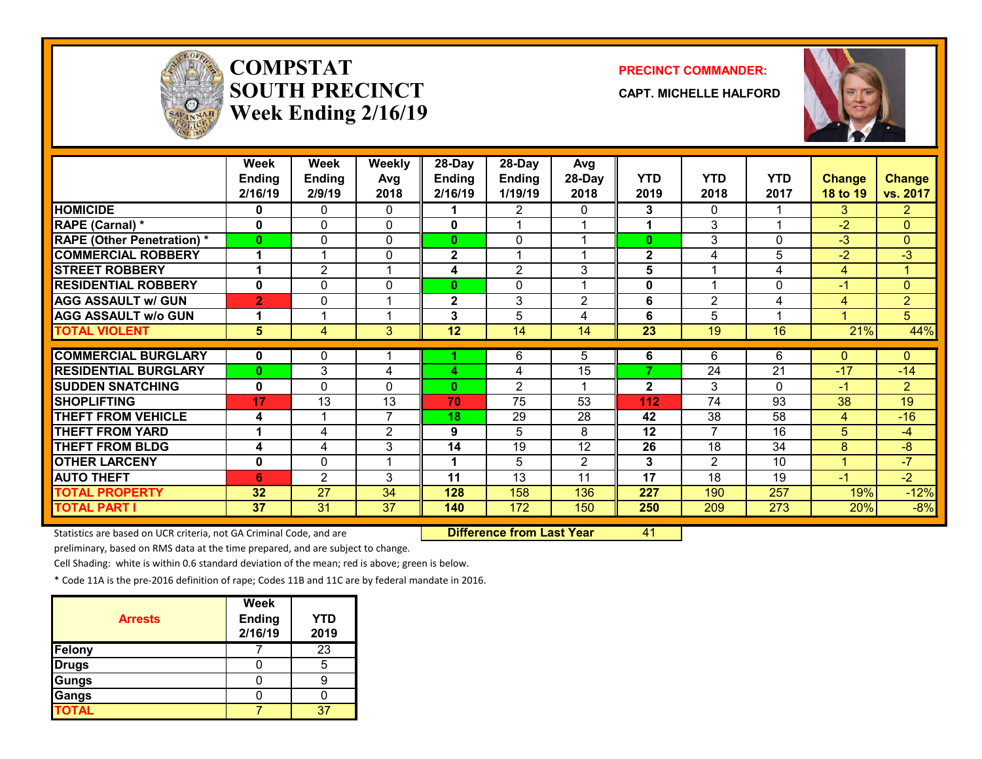

# **COMPSTATSOUTH PRECINCTWeek Ending 2/16/19**

#### **PRECINCT COMMANDER:**

**CAPT. MICHELLE HALFORD**



|                                   | <b>Week</b><br><b>Ending</b><br>2/16/19 | Week<br><b>Ending</b><br>2/9/19 | <b>Weekly</b><br>Avg<br>2018 | 28-Day<br><b>Ending</b><br>2/16/19 | 28-Day<br>Ending<br>1/19/19 | Avg<br>28-Day<br>2018 | <b>YTD</b><br>2019 | <b>YTD</b><br>2018 | <b>YTD</b><br>2017      | Change<br>18 to 19 | <b>Change</b><br>vs. 2017 |
|-----------------------------------|-----------------------------------------|---------------------------------|------------------------------|------------------------------------|-----------------------------|-----------------------|--------------------|--------------------|-------------------------|--------------------|---------------------------|
| <b>HOMICIDE</b>                   | 0                                       | 0                               | 0                            |                                    | $\overline{2}$              | 0                     | 3                  | $\Omega$           |                         | 3                  | $\mathbf{2}$              |
| RAPE (Carnal) *                   | 0                                       | 0                               | 0                            | $\mathbf{0}$                       |                             |                       | 1                  | 3                  | 1                       | $-2$               | $\overline{0}$            |
| <b>RAPE (Other Penetration) *</b> | 0                                       | 0                               | 0                            | 0                                  | 0                           |                       | $\bf{0}$           | 3                  | 0                       | $-3$               | $\overline{0}$            |
| <b>COMMERCIAL ROBBERY</b>         | 1                                       | 1                               | 0                            | $\mathbf{2}$                       | -4                          |                       | $\mathbf{2}$       | 4                  | 5                       | $-2$               | $-3$                      |
| <b>STREET ROBBERY</b>             | 1                                       | 2                               | -4                           | 4                                  | $\overline{2}$              | 3                     | 5                  |                    | 4                       | 4                  | 1                         |
| <b>RESIDENTIAL ROBBERY</b>        | 0                                       | 0                               | $\Omega$                     | 0                                  | 0                           |                       | $\mathbf 0$        |                    | $\mathbf{0}$            | $-1$               | $\overline{0}$            |
| <b>AGG ASSAULT w/ GUN</b>         | $\overline{2}$                          | 0                               | 1                            | $\mathbf{2}$                       | 3                           | $\overline{2}$        | 6                  | $\overline{2}$     | 4                       | 4                  | $\overline{2}$            |
| <b>AGG ASSAULT w/o GUN</b>        | 1                                       | 4                               | 1                            | 3                                  | 5                           | 4                     | 6                  | 5                  | $\overline{\mathbf{A}}$ |                    | 5                         |
| <b>TOTAL VIOLENT</b>              | 5                                       | 4                               | 3                            | 12                                 | 14                          | 14                    | $\overline{23}$    | 19                 | 16                      | 21%                | 44%                       |
|                                   |                                         |                                 |                              |                                    |                             |                       |                    |                    |                         |                    |                           |
| <b>COMMERCIAL BURGLARY</b>        | 0                                       | 0                               |                              |                                    | 6                           | 5                     | 6                  | 6                  | 6                       | 0                  | 0                         |
| <b>RESIDENTIAL BURGLARY</b>       | 0                                       | 3                               | 4                            | 4                                  | 4                           | 15                    | ⇁                  | 24                 | $\overline{21}$         | $-17$              | $-14$                     |
| <b>SUDDEN SNATCHING</b>           | 0                                       | 0                               | $\Omega$                     | $\mathbf{0}$                       | $\overline{2}$              |                       | $\mathbf{2}$       | 3                  | $\Omega$                | -1                 | $\overline{2}$            |
| <b>SHOPLIFTING</b>                | 17                                      | 13                              | 13                           | 70                                 | 75                          | 53                    | 112                | $\overline{74}$    | 93                      | 38                 | 19                        |
| <b>THEFT FROM VEHICLE</b>         | 4                                       |                                 | 7                            | 18                                 | 29                          | 28                    | 42                 | 38                 | 58                      | 4                  | $-16$                     |
| <b>THEFT FROM YARD</b>            | 1                                       | 4                               | $\overline{2}$               | 9                                  | 5                           | 8                     | 12                 | $\overline{7}$     | 16                      | 5                  | $-4$                      |
| <b>THEFT FROM BLDG</b>            | 4                                       | 4                               | 3                            | 14                                 | 19                          | 12                    | 26                 | 18                 | 34                      | 8                  | -8                        |
| <b>OTHER LARCENY</b>              | 0                                       | 0                               | 1                            |                                    | 5                           | 2                     | 3                  | $\overline{2}$     | 10                      | ◢                  | $-7$                      |
| <b>AUTO THEFT</b>                 | 6                                       | $\overline{2}$                  | 3                            | 11                                 | 13                          | 11                    | 17                 | 18                 | 19                      | -1                 | $-2$                      |
| <b>TOTAL PROPERTY</b>             | 32                                      | 27                              | 34                           | 128                                | 158                         | 136                   | 227                | 190                | 257                     | 19%                | $-12%$                    |
| <b>TOTAL PART I</b>               | 37                                      | 31                              | 37                           | 140                                | 172                         | 150                   | 250                | 209                | 273                     | 20%                | $-8%$                     |

Statistics are based on UCR criteria, not GA Criminal Code, and are **Difference from Last Year** 41

preliminary, based on RMS data at the time prepared, and are subject to change.

Cell Shading: white is within 0.6 standard deviation of the mean; red is above; green is below.

| <b>Arrests</b> | <b>Week</b><br><b>Ending</b><br>2/16/19 | <b>YTD</b><br>2019 |
|----------------|-----------------------------------------|--------------------|
| Felony         |                                         | $\overline{23}$    |
| <b>Drugs</b>   |                                         | 5                  |
| Gungs          |                                         |                    |
| Gangs          |                                         |                    |
| <b>TOTAL</b>   |                                         | J.                 |